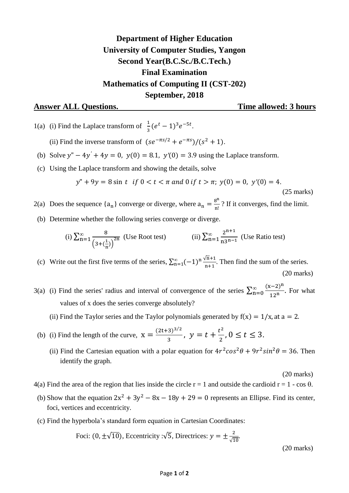## **Department of Higher Education University of Computer Studies, Yangon Second Year(B.C.Sc./B.C.Tech.) Final Examination Mathematics of Computing II (CST-202) September, 2018**

## **Answer ALL Questions. Time allowed: 3 hours**

1(a) (i) Find the Laplace transform of  $\frac{1}{3}(e^t - 1)^3 e^{-5t}$ .

(ii) Find the inverse transform of  $(se^{-\pi s/2} + e^{-\pi s})/(s^2 + 1)$ .

- (b) Solve  $y'' 4y' + 4y = 0$ ,  $y(0) = 8.1$ ,  $y'(0) = 3.9$  using the Laplace transform.
- (c) Using the Laplace transform and showing the details, solve

$$
y'' + 9y = 8 \sin t \text{ if } 0 < t < \pi \text{ and } 0 \text{ if } t > \pi; \ y(0) = 0, \ y'(0) = 4.
$$

(25 marks)

2(a) Does the sequence  ${a_n}$  converge or diverge, where  ${a_n} = \frac{8^n}{n!}$  $\frac{1}{n!}$ ? If it converges, find the limit.

(b) Determine whether the following series converge or diverge.

(i) 
$$
\sum_{n=1}^{\infty} \frac{8}{\left(3 + \left(\frac{1}{n}\right)\right)^{2n}}
$$
 (Use Root test) (ii)  $\sum_{n=1}^{\infty} \frac{2^{n+1}}{n3^{n-1}}$  (Use Ratio test)

(c) Write out the first five terms of the series,  $\sum_{n=1}^{\infty} (-1)^n \frac{\sqrt{n}}{n}$  $\mathbf n$  $\sum_{n=1}^{\infty}(-1)^n \frac{\sqrt{n+1}}{n+1}$ . Then find the sum of the series. (20 marks)

- 3(a) (i) Find the series' radius and interval of convergence of the series  $\sum_{n=0}^{\infty} \frac{(x-2)^n}{4(n-1)^n}$  $\mathbf{1}$  $\infty$  $\sum_{n=0}^{\infty} \frac{(x-z)}{12n}$ . For what values of x does the series converge absolutely?
	- (ii) Find the Taylor series and the Taylor polynomials generated by  $f(x) = 1/x$ , at  $a = 2$ .
- (b) (i) Find the length of the curve,  $X = \frac{(2t+3)^{3/2}}{2}$  $\frac{(3)^{3/2}}{3}$ ,  $y = t + \frac{t^2}{2}$  $\frac{1}{2}$ ,  $0 \le t \le 3$ .
	- (ii) Find the Cartesian equation with a polar equation for  $4r^2\cos^2\theta + 9r^2\sin^2\theta = 36$ . Then identify the graph.

(20 marks)

- 4(a) Find the area of the region that lies inside the circle  $r = 1$  and outside the cardioid  $r = 1 \cos \theta$ .
- (b) Show that the equation  $2x^2 + 3y^2 8x 18y + 29 = 0$  represents an Ellipse. Find its center, foci, vertices and eccentricity.
- (c) Find the hyperbola's standard form equation in Cartesian Coordinates:

Foci: 
$$
(0, \pm \sqrt{10})
$$
, Eccentricity : $\sqrt{5}$ , Directrices:  $y = \pm \frac{2}{\sqrt{10}}$ . (20 marks)